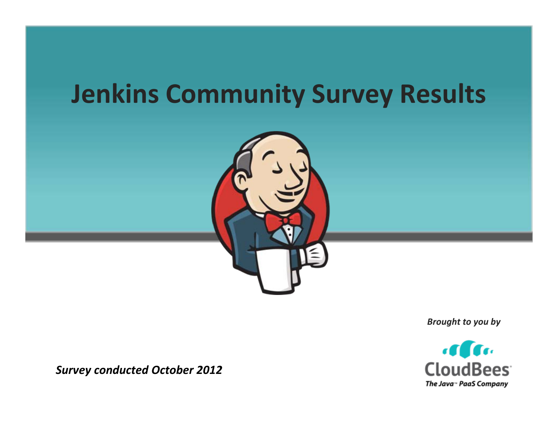# **Jenkins Community Survey Results**



*Brought to you by*



*Survey conducted October 2012*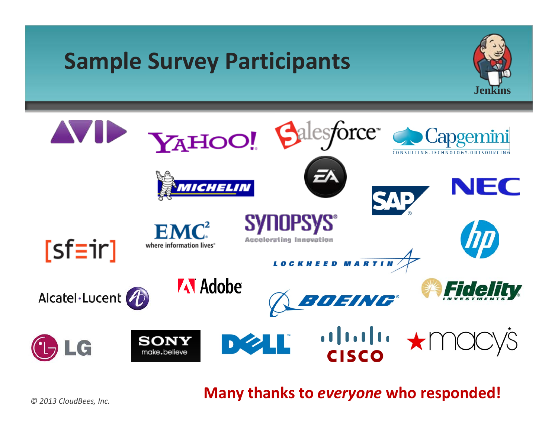## **Sample Survey Participants**





**Many thanks to** *everyone* **who responded!**

*© 2013 CloudBees, Inc.*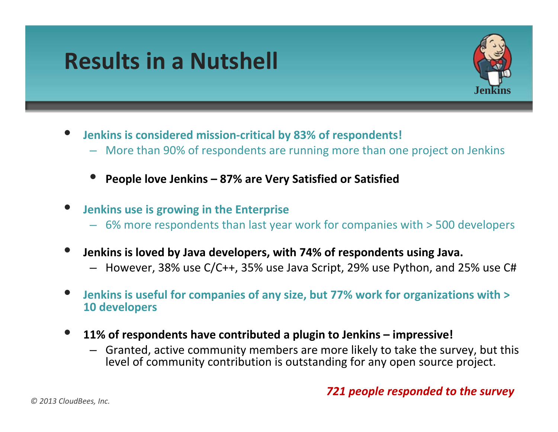### **Results in a Nutshell**



- • **Jenkins is considered mission‐critical by 83% of respondents!**
	- More than 90% of respondents are running more than one project on Jenkins
	- •**People love Jenkins – 87% are Very Satisfied or Satisfied**
- • **Jenkins use is growing in the Enterprise**
	- 6% more respondents than last year work for companies with <sup>&</sup>gt; 500 developers
- • **Jenkins is loved by Java developers, with 74% of respondents using Java.**
	- However, 38% use C/C++, 35% use Java Script, 29% use Python, and 25% use C#
- **Jenkins is useful for companies of any size, but 77% work for organizations with <sup>&</sup>gt; 10 developers**
- • **11% of respondents have contributed <sup>a</sup> plugin to Jenkins – impressive!**
	- Granted, active community members are more likely to take the survey, but this level of community contribution is outstanding for any open source project.

### *721 people responded to the survey*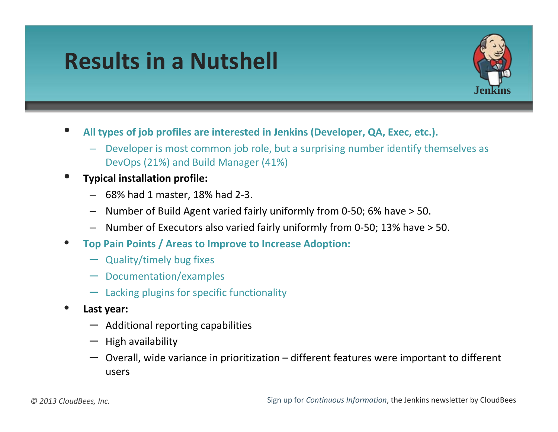### **Results in a Nutshell**



- **All types of job profiles are interested in Jenkins (Developer, QA, Exec, etc.).**
	- Developer is most common job role, but <sup>a</sup> surprising number identify themselves as DevOps (21%) and Build Manager (41%)
- **Typical installation profile:**
	- 68% had 1 master, 18% had 2‐3.
	- Number of Build Agent varied fairly uniformly from 0‐50; 6% have <sup>&</sup>gt; 50.
	- Number of Executors also varied fairly uniformly from 0‐50; 13% have <sup>&</sup>gt; 50.
- **Top Pain Points / Areas to Improve to Increase Adoption:**
	- Quality/timely bug fixes
	- Documentation/examples
	- Lacking plugins for specific functionality
- **Last year:**
	- Additional reporting capabilities
	- High availability
	- Overall, wide variance in prioritization different features were important to different users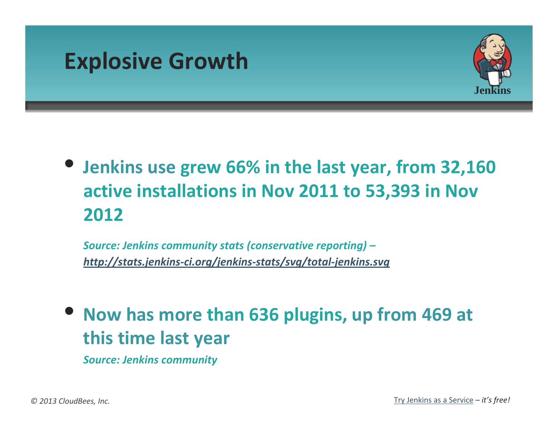



### • **Jenkins use grew 66% in the last year, from 32,160 active installations in Nov 2011 to 53,393 in Nov 2012**

*Source: Jenkins community stats (conservative reporting) – [http://stats.jenkins](http://stats.jenkins-ci.org/jenkins-stats/svg/total-jenkins.svg)‐ci.org/jenkins‐stats/svg/total‐jenkins.svg*

• **Now has more than 636 plugins, up from 469 at this time last year**

*Source: Jenkins community*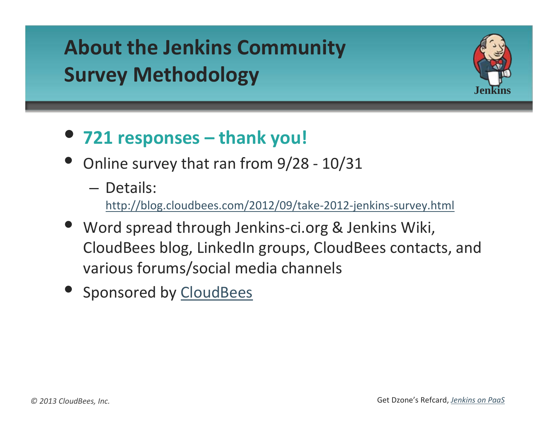### **About the Jenkins Community Survey Methodology**



- **721 responses – thank you!**
- Online survey that ran from 9/28 10/31
	- Details:

[http://blog.cloudbees.com/2012/09/take](http://blog.cloudbees.com/2012/09/take-2012-jenkins-survey.html)‐2012‐jenkins‐survey.html

- Word spread through Jenkins‐ci.org & Jenkins Wiki, CloudBees blog, LinkedIn groups, CloudBees contacts, and various forums/social media channels
- Sponsored by [CloudBees](http://www.cloudbees.com/)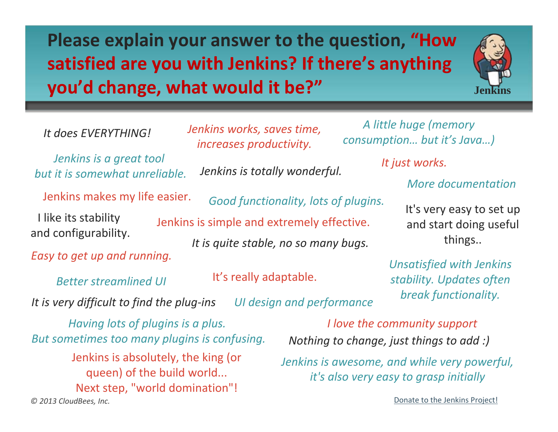**Please explain your answer to the question, "How satisfied are you with Jenkins? If there's anything you'd change, what would it be?"**

*Jenkins works, saves time,*



*It does EVERYTHING!*

*Jenkins is a great tool but it is somewhat unreliable.*

Jenkins makes my life easier.

 like its stability and configurability.

*Easy to get up and running.*

*Better streamlined UI*

*It is very difficult to find the plug‐ins UI design and performance*

*© 2013 CloudBees, Inc. Having lots of plugins is <sup>a</sup> plus. But sometimes too many plugins is confusing.* Jenkins is absolutely, the king (or queen) of the build world... Next step, "world domination"!

*consumption… but it's Java…) Jenkins is totally wonderful. increases productivity.*

*Good functionality, lots of plugins. It is quite stable, no so many bugs.* Jenkins is simple and extremely effective.

It's really adaptable.

*More documentationIt just works.*

*A little huge (memory*

It's very easy to set up and start doing useful things..

*Unsatisfied with Jenkins stability. Updates often break functionality.*

*Nothing to change, just things to add :) I love the community support*

*Jenkins is awesome, and while very powerful, it's also very easy to grasp initially*

Donate to the Jenkins [Project!](https://jenkins-ci.org/content/fundraising-travel-grant)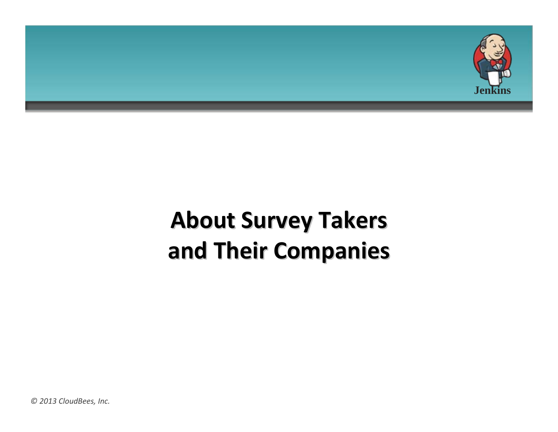

# **About Survey Takers and Their Companies Companies**

*© 2013 CloudBees, Inc.*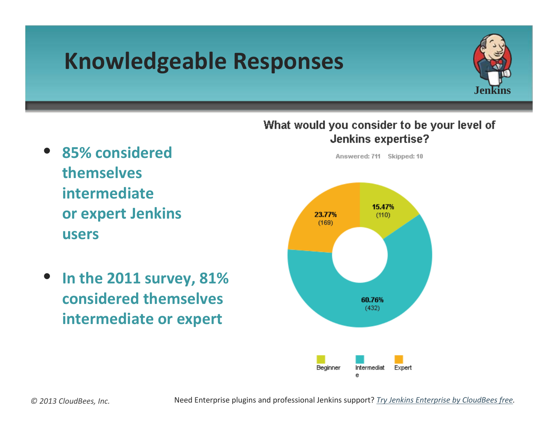# **Knowledgeable Responses**





- **85% considered themselvesintermediateor expert Jenkins users**
- **In the 2011 survey, 81% considered themselves intermediate or expert**

*© 2013 CloudBees, Inc.*

Need Enterprise plugins and professional Jenkins support? *Try Jenkins [Enterprise](http://www.cloudbees.com/jenkins-enterprise-by-cloudbees-overview.cb) by CloudBees free.*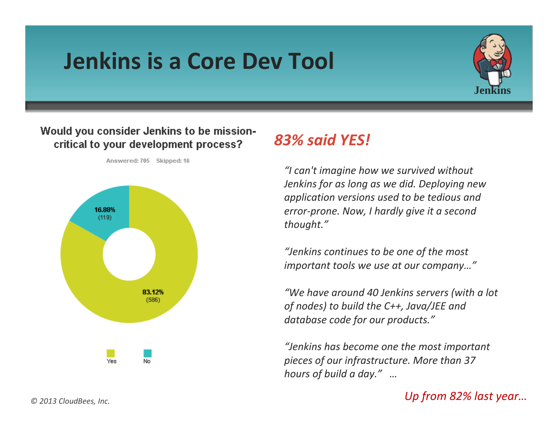### **Jenkins is a Core Dev Tool**



#### Would you consider Jenkins to be missioncritical to your development process?



Answered: 705 Skipped: 16

### *83% said YES!*

*"I can't imagine how we survived without Jenkins for as long as we did. Deploying new application versions used to be tedious and error‐prone. Now, I hardly give it <sup>a</sup> second thought."*

*"Jenkins continues to be one of the most important tools we use at our company…"*

*"We have around 40 Jenkins servers (with <sup>a</sup> lot of nodes) to build the C++, Java/JEE and database code for our products."*

*"Jenkins has become one the most important pieces of our infrastructure. More than 37 hours of build <sup>a</sup> day." …*

#### *Up from 82% last year…*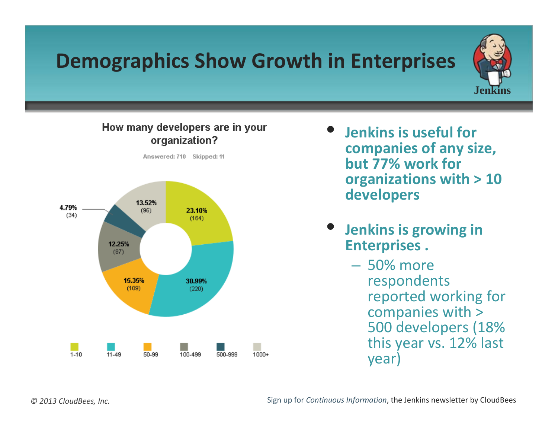### **Demographics Show Growth in Enterprises**



#### How many developers are in your organization?



- **Jenkins is useful for companies of any size, but 77% work for organizations with <sup>&</sup>gt; 10 developers**
- **Jenkins is growing in Enterprises .**
	- 50% more respondents reported working for companies with <sup>&</sup>gt; 500 developers (18% this year vs. 12% last year)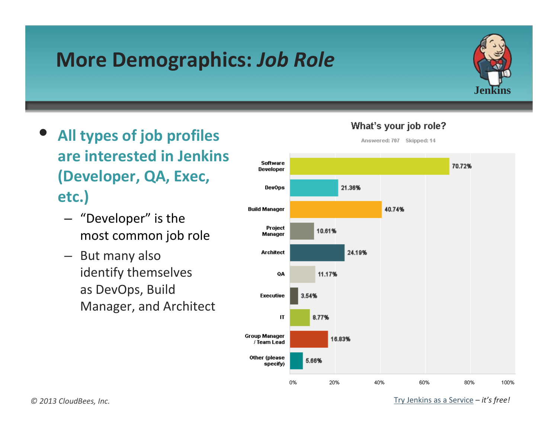### **More Demographics:** *Job Role*



- **All types of job profiles are interested in Jenkins (Developer, QA, Exec, etc.)**
	- "Developer" is the most common job role
	- But many also identify themselves as DevOps, Build Manager, and Architect



#### What's your job role?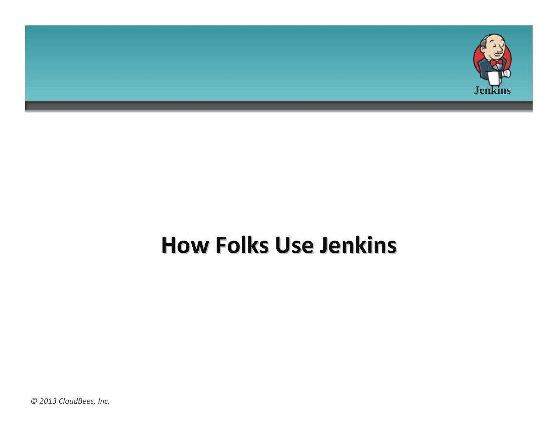

### **How Folks Use Jenkins Jenkins**

*© 2013 CloudBees, Inc.*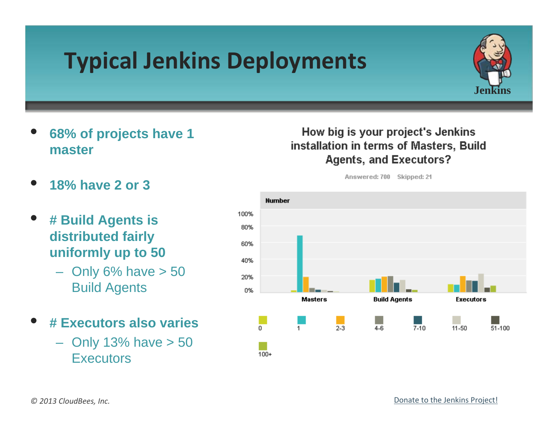# **Typical Jenkins Deployments**



- **68% of projects have 1 master**
- **18% have 2 or 3**
- **# Build Agents is distributed fairly uniformly up to 50**
	- $-$  Only 6% have  $> 50$ Build Agents
- **# Executors also varies**
	- $-$  Only 13% have  $> 50$ **Executors**

### How big is your project's Jenkins installation in terms of Masters, Build **Agents, and Executors?**

Answered: 700 Skipped: 21



#### Donate to the Jenkins [Project!](https://jenkins-ci.org/content/fundraising-travel-grant)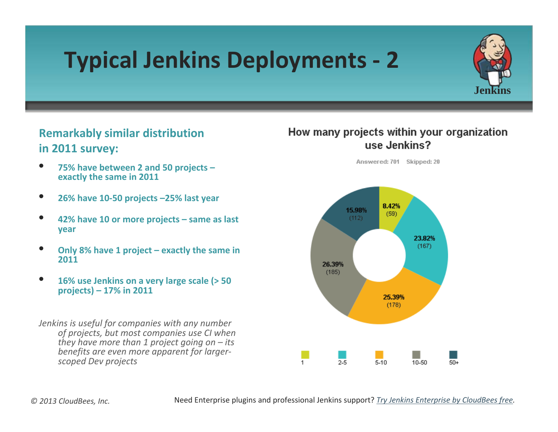# **Typical Jenkins Deployments ‐ 2**



### **Remarkably similar distribution in 2011 survey:**

- **75% have between 2 and 50 projects – exactly the same in 2011**
- **26% have 10‐50 projects –25% last year**
- **42% have 10 or more projects – same as last year**
- **Only 8% have <sup>1</sup> project – exactly the same in 2011**
- **16% use Jenkins on <sup>a</sup> very large scale (> 50 projects) – 17% in 2011**

*Jenkins is useful for companies with any number of projects, but most companies use CI when they have more than 1 project going on – its benefits are even more apparent for larger‐ scoped Dev projects*

#### How many projects within your organization use Jenkins?

Answered: 701 Skipped: 20

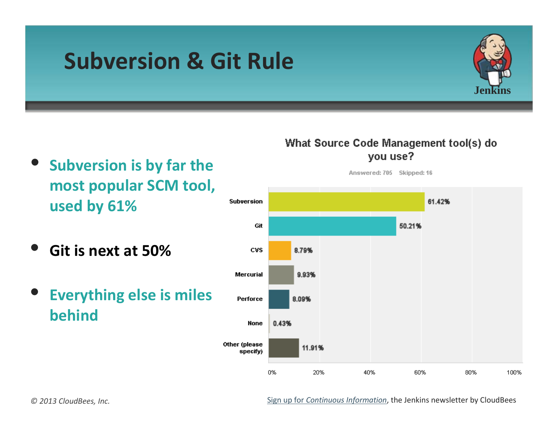### **Subversion & Git Rule**



- **Subversion is by far the most popular SCM tool, used by 61%**
- **Git is next at 50%**
- **Everything else is miles behind**

### What Source Code Management tool(s) do you use?



#### Sign up for *Continuous [Information](http://www.cloudbees.com/jenkins/jenkins-ci/jenkins-newsletter.cb)*, the Jenkins newsletter by CloudBees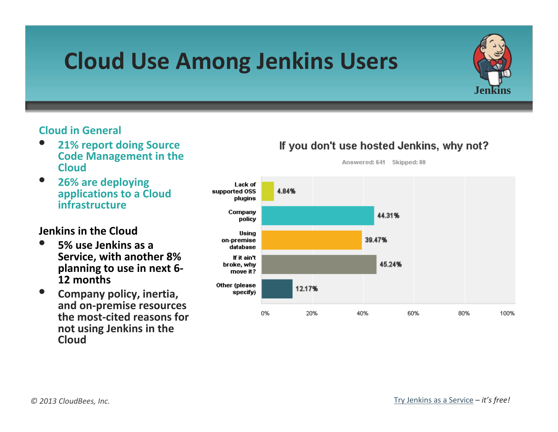## **Cloud Use Among Jenkins Users**

#### **Cloud in General**

- **21% report doing Source Code Management in the Cloud**
- **26% are deploying applications to <sup>a</sup> Cloud infrastructure**

#### **Jenkins in the Cloud**

- **5% use Jenkins as <sup>a</sup> Service, with another 8% planning to use in next 6‐ 12 months**
- **Company policy, inertia, and on‐premise resources the most‐cited reasons for not using Jenkins in the Cloud**

#### If you don't use hosted Jenkins, why not?

Answered: 641 Skipped: 80



**Jenkins**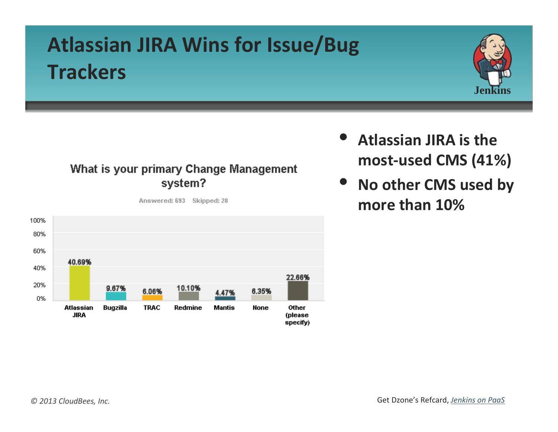### **Atlassian JIRA Wins for Issue/Bug Trackers**



### What is your primary Change Management system?



Answered: 693 Skipped: 28

- **Atlassian JIRA is the most‐used CMS (41%)**
- **No other CMS used by more than 10%**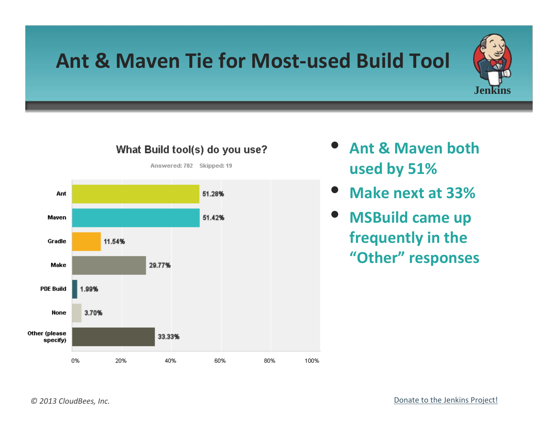### **Ant & Maven Tie for Most‐used Build Tool**





### What Build tool(s) do you use?

- **Ant & Maven both used by 51%**
- **Make next at 33%**
- **MSBuild came up frequently in the "Other" responses**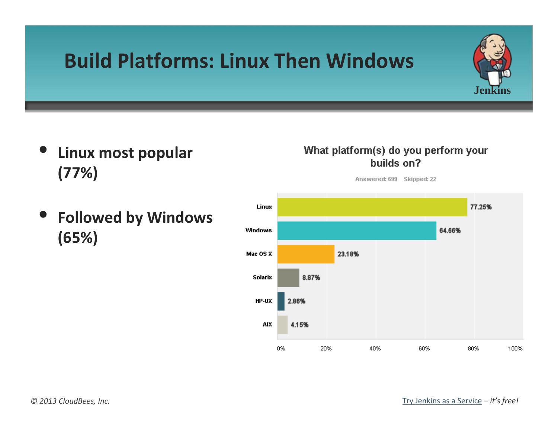### **Build Platforms: Linux Then Windows**

- **Linux most popular (77%)**
- **Followed by Windows (65%)**

#### What platform(s) do you perform your builds on?

Answered: 699 Skipped: 22



**Jenkins**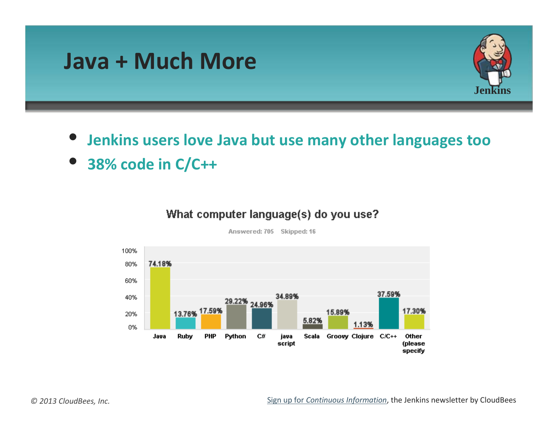

• **38% code in C/C++**

#### What computer language(s) do you use?



Answered: 705 Skipped: 16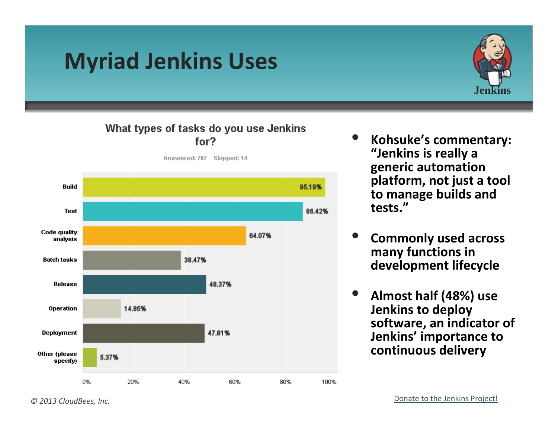## **Myriad Jenkins Uses**



#### What types of tasks do you use Jenkins for?



- **Kohsuke's commentary: "Jenkins is really <sup>a</sup> generic automation platform, not just <sup>a</sup> tool to manage builds and tests."**
- **Commonly used across many functions in development lifecycle**
- **Almost half (48%) use Jenkins to deploy software, an indicator of Jenkins' importance to continuous delivery**

#### *© 2013 CloudBees, Inc.*

#### Donate to the Jenkins [Project!](https://jenkins-ci.org/content/fundraising-travel-grant)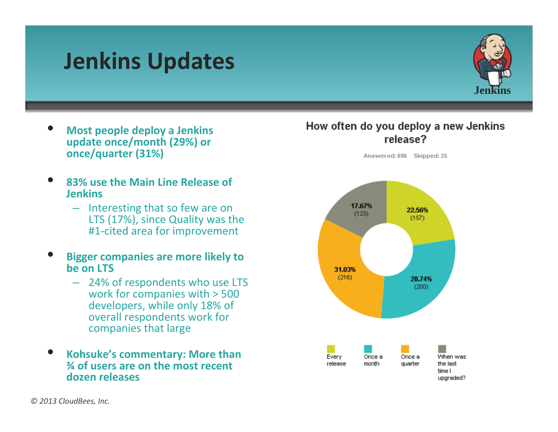### **Jenkins Updates**



- **Most people deploy <sup>a</sup> Jenkins update once/month (29%) or once/quarter (31%)**
- • **83% use the Main Line Release of Jenkins**
	- Interesting that so few are on LTS (17%), since Quality was the #1‐cited area for improvement
- **Bigger companies are more likely to be on LTS**
	- 24% of respondents who use LTS work for companies with <sup>&</sup>gt; 500 developers, while only 18% of overall respondents work for companies that large
- **Kohsuke's commentary: More than ¾ of users are on the most recent dozen releases**

#### How often do you deploy a new Jenkins release?

Answered: 696 Skipped: 25

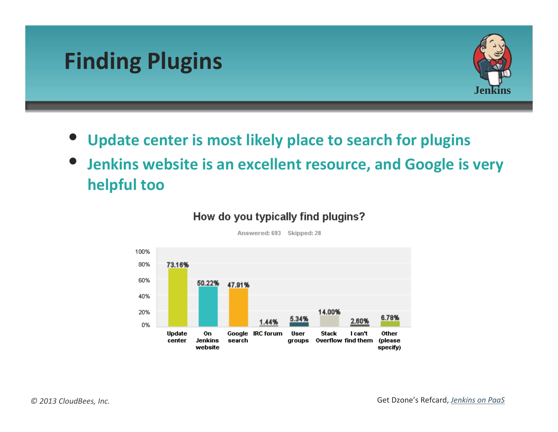## **Finding Plugins**



- **Update center is most likely place to search for plugins**
- **Jenkins website is an excellent resource, and Google is very helpful too**



#### How do you typically find plugins?

Answered: 693 Skipped: 28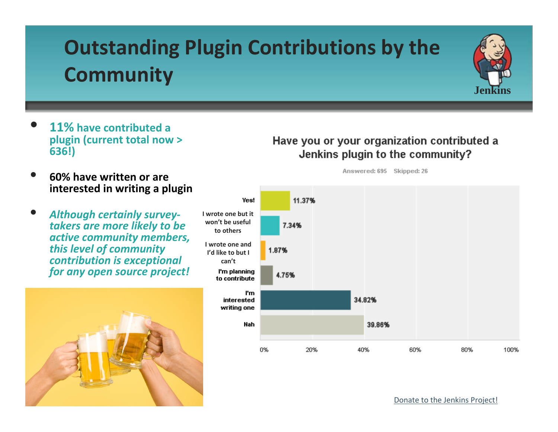### **Outstanding Plugin Contributions by the Community**



- **11% have contributed <sup>a</sup> plugin (current total now <sup>&</sup>gt; 636!)**
- **60% have written or are interested in writing <sup>a</sup> plugin**
- *Although certainly survey‐ takers are more likely to be active community members, this level of community contribution is exceptional for any open source project!*



#### Have you or your organization contributed a Jenkins plugin to the community?

Answered: 695 Skipped: 26



Donate to the Jenkins [Project!](https://jenkins-ci.org/content/fundraising-travel-grant)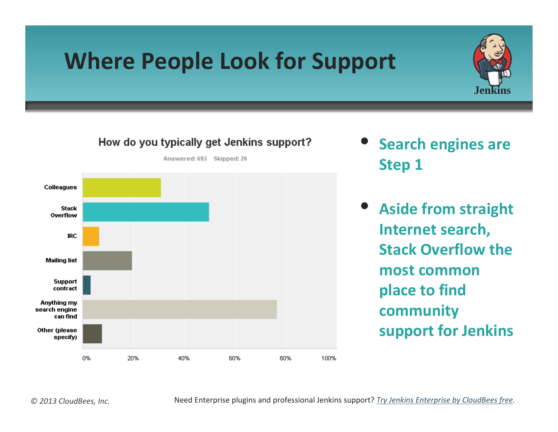# **Where People Look for Support**



• **Search engines are Step 1**

**Jenkins**

• **Aside from straight Internet search, Stack Overflow the most commonplace to find community support for Jenkins**

Need Enterprise plugins and professional Jenkins support? *Try Jenkins [Enterprise](http://www.cloudbees.com/jenkins-enterprise-by-cloudbees-overview.cb) by CloudBees free.*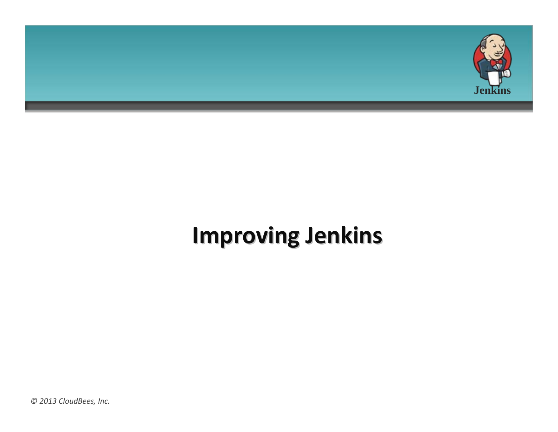

# **Improving Improving Jenkins Jenkins**

*© 2013 CloudBees, Inc.*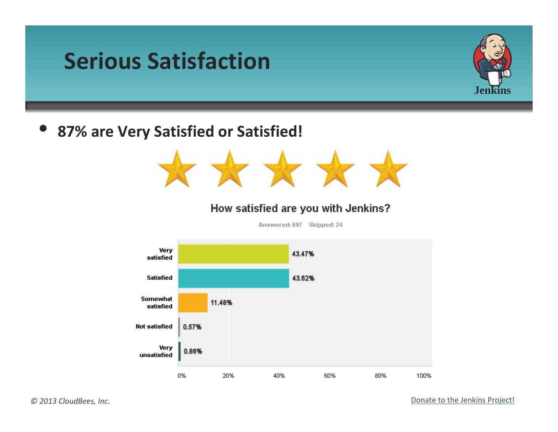### **Serious Satisfaction**



### • **87% are Very Satisfied or Satisfied!**



#### How satisfied are you with Jenkins?

Answered: 697 Skipped: 24

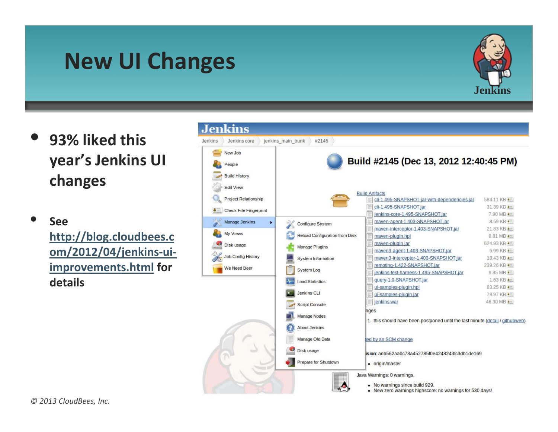### **New UI Changes**



- **93% liked this year's Jenkins UI changes**
	- **See[http://blog.cloudbees.c](http://blog.cloudbees.com/2012/04/jenkins-ui-improvements.html) [om/2012/04/jenkins](http://blog.cloudbees.com/2012/04/jenkins-ui-improvements.html)‐ui‐ [improvements.html](http://blog.cloudbees.com/2012/04/jenkins-ui-improvements.html) for details**

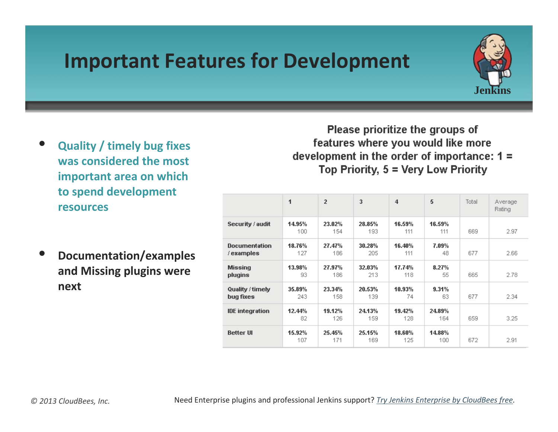### **Important Features for Development**



- **Quality / timely bug fixes was considered the most important area on which to spend development resources**
- **Documentation/examples and Missing plugins were next**

Please prioritize the groups of features where you would like more development in the order of importance:  $1 =$ Top Priority, 5 = Very Low Priority

|                                   | 1             | $\overline{2}$ | 3             | $\overline{4}$ | 5             | Total | Average<br>Rating |
|-----------------------------------|---------------|----------------|---------------|----------------|---------------|-------|-------------------|
| Security / audit                  | 14.95%<br>100 | 23.02%<br>154  | 28.85%<br>193 | 16.59%<br>111  | 16.59%<br>111 | 669   | 2.97              |
| <b>Documentation</b><br>/examples | 18.76%<br>127 | 27.47%<br>186  | 30.28%<br>205 | 16.40%<br>111  | 7.09%<br>48   | 677   | 2.66              |
| <b>Missing</b><br>plugins         | 13.98%<br>93. | 27.97%<br>186  | 32.03%<br>213 | 17.74%<br>118  | 8.27%<br>55   | 665   | 2.78              |
| Quality / timely<br>bug fixes     | 35.89%<br>243 | 23.34%<br>158  | 20.53%<br>139 | 10.93%<br>74   | 9.31%<br>63   | 677   | 2.34              |
| <b>IDE</b> integration            | 12.44%<br>82  | 19.12%<br>126  | 24.13%<br>159 | 19.42%<br>128  | 24.89%<br>164 | 659   | 3.25              |
| <b>Better UI</b>                  | 15.92%<br>107 | 25.45%<br>171  | 25.15%<br>169 | 18.60%<br>125  | 14.88%<br>100 | 672   | 2.91              |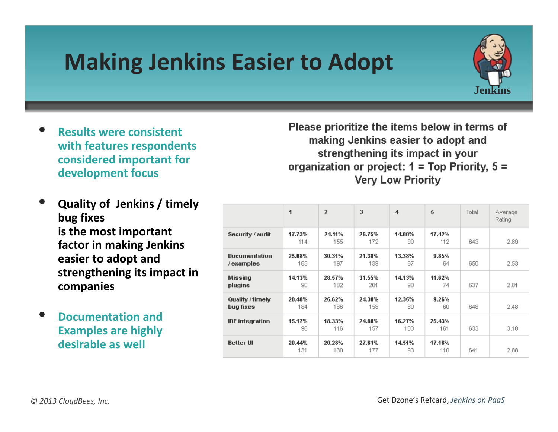# **Making Jenkins Easier to Adopt**



- **Results were consistent with features respondents considered important for development focus**
- **Quality of Jenkins / timely bug fixes is the most important factor in making Jenkins easier to adopt and strengthening its impact in companies**
- **Documentation and Examples are highly desirable as well**

Please prioritize the items below in terms of making Jenkins easier to adopt and strengthening its impact in your organization or project:  $1 = Top$  Priority,  $5 =$ **Very Low Priority** 

|                                   | 1             | $\overline{2}$ | 3             | $\overline{4}$ | 5             | Total | Average<br>Rating |
|-----------------------------------|---------------|----------------|---------------|----------------|---------------|-------|-------------------|
| Security / audit                  | 17.73%<br>114 | 24.11%<br>155  | 26.75%<br>172 | 14.00%<br>90   | 17.42%<br>112 | 643   | 2.89              |
| <b>Documentation</b><br>/examples | 25.08%<br>163 | 30.31%<br>197  | 21.38%<br>139 | 13.38%<br>87   | 9.85%<br>64   | 650   | 2.53              |
| <b>Missing</b><br>plugins         | 14.13%<br>90  | 28.57%<br>182  | 31.55%<br>201 | 14.13%<br>90   | 11.62%<br>74  | 637   | 2.81              |
| Quality / timely<br>bug fixes     | 28.40%<br>184 | 25.62%<br>166  | 24.38%<br>158 | 12.35%<br>80   | 9.26%<br>60   | 648   | 2.48              |
| <b>IDE</b> integration            | 15.17%<br>96  | 18.33%<br>116  | 24.80%<br>157 | 16.27%<br>103  | 25.43%<br>161 | 633   | 3.18              |
| <b>Better UI</b>                  | 20.44%<br>131 | 20.28%<br>130  | 27.61%<br>177 | 14.51%<br>93   | 17.16%<br>110 | 641   | 2.88              |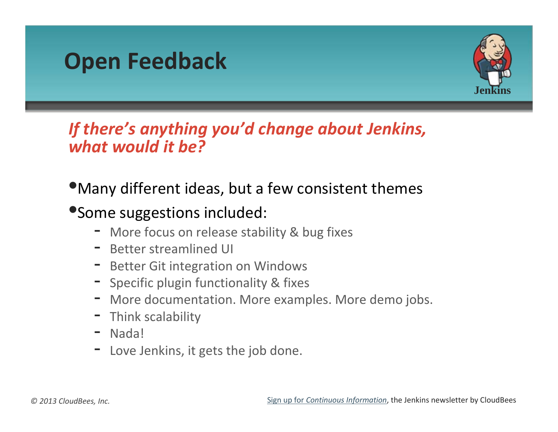



### *If there's anything you'd change about Jenkins, what would it be?*

### •Many different ideas, but <sup>a</sup> few consistent themes

### •Some suggestions included:

- More focus on release stability & bug fixes
- Better streamlined UI
- **-** Better Git integration on Windows
- Specific plugin functionality & fixes
- More documentation. More examples. More demo jobs.
- -**-** Think scalability
- -Nada!
- -**-** Love Jenkins, it gets the job done.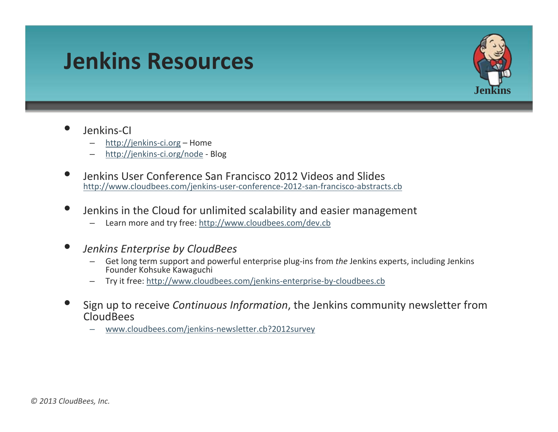### **Jenkins Resources**



#### •Jenkins‐CI

- [http://jenkins](http://jenkins-ci.org/)-ci.org Home
- http://jenkins‐ci.org/node ‐ Blog
- Jenkins User [Conference](http://jenkins-ci.org/node) San Francisco 2012 Videos and Slides [http://www.cloudbees.com/jenkins](http://www.cloudbees.com/jenkins-user-conference-2012-san-francisco-abstracts.cb)‐user‐conference‐2012‐san‐francisco‐abstracts.cb
- •**•** Jenkins in the Cloud for unlimited scalability and easier management
	- Learn more and try free: <http://www.cloudbees.com/dev.cb>

#### •*Jenkins Enterprise by CloudBees*

- Get long term support and powerful enterprise plug‐ins from *the* Jenkins experts, including Jenkins Founder Kohsuke Kawaguchi
- Try it free: [http://www.cloudbees.com/jenkins](http://www.cloudbees.com/jenkins-enterprise-by-cloudbees.cb)‐enterprise‐by‐cloudbees.cb
- Sign up to receive *Continuous Information*, the Jenkins community newsletter from CloudBees
	- [www.cloudbees.com/jenkins](http://www.cloudbees.com/jenkins-newsletter.cb?2012survey)‐newsletter.cb?2012survey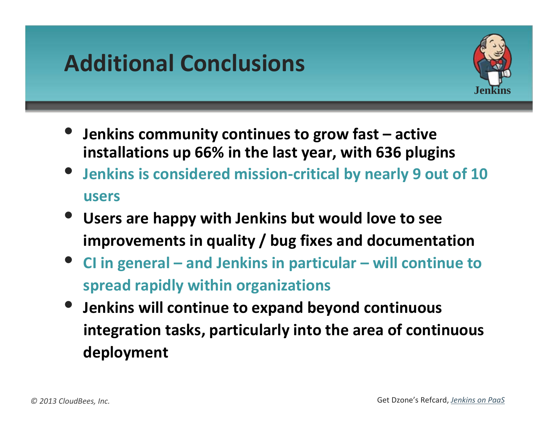# **Additional Conclusions**



- **Jenkins community continues to grow fast – active installations up 66% in the last year, with 636 plugins**
- **Jenkins is considered mission‐critical by nearly 9 out of 10 users**
- **Users are happy with Jenkins but would love to see improvements in quality / bug fixes and documentation**
- **CI in general – and Jenkins in particular – will continue to spread rapidly within organizations**
- **Jenkins will continue to expand beyond continuous integration tasks, particularly into the area of continuous deployment**